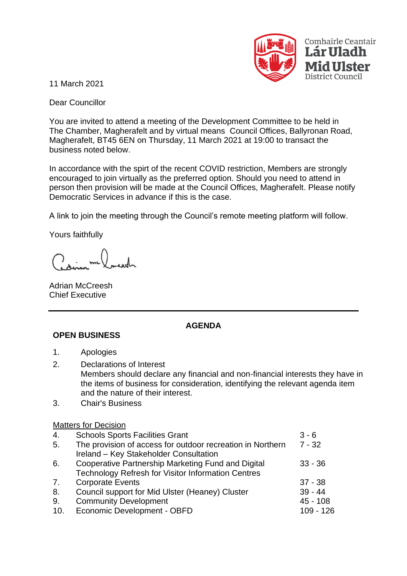

11 March 2021

Dear Councillor

You are invited to attend a meeting of the Development Committee to be held in The Chamber, Magherafelt and by virtual means Council Offices, Ballyronan Road, Magherafelt, BT45 6EN on Thursday, 11 March 2021 at 19:00 to transact the business noted below.

In accordance with the spirt of the recent COVID restriction, Members are strongly encouraged to join virtually as the preferred option. Should you need to attend in person then provision will be made at the Council Offices, Magherafelt. Please notify Democratic Services in advance if this is the case.

A link to join the meeting through the Council's remote meeting platform will follow.

Yours faithfully

Adrian McCreesh Chief Executive

## **AGENDA**

- **OPEN BUSINESS**
- 1. Apologies
- 2. Declarations of Interest Members should declare any financial and non-financial interests they have in the items of business for consideration, identifying the relevant agenda item and the nature of their interest.
- 3. Chair's Business

## Matters for Decision

| 4.  | <b>Schools Sports Facilities Grant</b>                     | $3 - 6$     |
|-----|------------------------------------------------------------|-------------|
| 5.  | The provision of access for outdoor recreation in Northern | $7 - 32$    |
|     | Ireland - Key Stakeholder Consultation                     |             |
| 6.  | Cooperative Partnership Marketing Fund and Digital         | $33 - 36$   |
|     | <b>Technology Refresh for Visitor Information Centres</b>  |             |
| 7.  | <b>Corporate Events</b>                                    | $37 - 38$   |
| 8.  | Council support for Mid Ulster (Heaney) Cluster            | $39 - 44$   |
| 9.  | <b>Community Development</b>                               | $45 - 108$  |
| 10. | Economic Development - OBFD                                | $109 - 126$ |